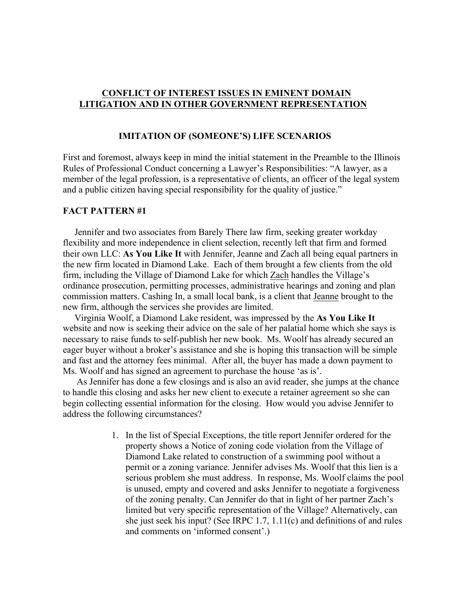# **CONFLICT OF INTEREST ISSUES IN EMINENT DOMAIN LITIGATION AND IN OTHER GOVERNMENT REPRESENTATION**

## **IMITATION OF (SOMEONE'S) LIFE SCENARIOS**

First and foremost, always keep in mind the initial statement in the Preamble to the Illinois Rules of Professional Conduct concerning a Lawyer's Responsibilities: "A lawyer, as a member of the legal profession, is a representative of clients, an officer of the legal system and a public citizen having special responsibility for the quality of justice."

#### **FACT PATTERN #1**

 Jennifer and two associates from Barely There law firm, seeking greater workday flexibility and more independence in client selection, recently left that firm and formed their own LLC: **As You Like It** with Jennifer, Jeanne and Zach all being equal partners in the new firm located in Diamond Lake. Each of them brought a few clients from the old firm, including the Village of Diamond Lake for which Zach handles the Village's ordinance prosecution, permitting processes, administrative hearings and zoning and plan commission matters. Cashing In, a small local bank, is a client that Jeanne brought to the new firm, although the services she provides are limited.

 Virginia Woolf, a Diamond Lake resident, was impressed by the **As You Like It** website and now is seeking their advice on the sale of her palatial home which she says is necessary to raise funds to self-publish her new book. Ms. Woolf has already secured an eager buyer without a broker's assistance and she is hoping this transaction will be simple and fast and the attorney fees minimal. After all, the buyer has made a down payment to Ms. Woolf and has signed an agreement to purchase the house 'as is'.

 As Jennifer has done a few closings and is also an avid reader, she jumps at the chance to handle this closing and asks her new client to execute a retainer agreement so she can begin collecting essential information for the closing. How would you advise Jennifer to address the following circumstances?

> 1. In the list of Special Exceptions, the title report Jennifer ordered for the property shows a Notice of zoning code violation from the Village of Diamond Lake related to construction of a swimming pool without a permit or a zoning variance. Jennifer advises Ms. Woolf that this lien is a serious problem she must address. In response, Ms. Woolf claims the pool is unused, empty and covered and asks Jennifer to negotiate a forgiveness of the zoning penalty. Can Jennifer do that in light of her partner Zach's limited but very specific representation of the Village? Alternatively, can she just seek his input? (See IRPC 1.7, 1.11(c) and definitions of and rules and comments on 'informed consent'.)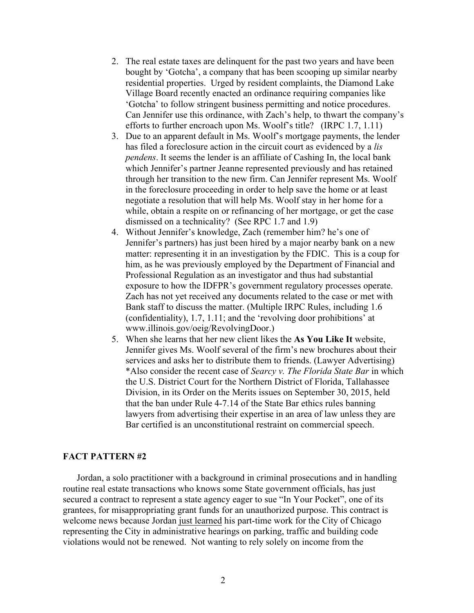- 2. The real estate taxes are delinquent for the past two years and have been bought by 'Gotcha', a company that has been scooping up similar nearby residential properties. Urged by resident complaints, the Diamond Lake Village Board recently enacted an ordinance requiring companies like 'Gotcha' to follow stringent business permitting and notice procedures. Can Jennifer use this ordinance, with Zach's help, to thwart the company's efforts to further encroach upon Ms. Woolf's title? (IRPC 1.7, 1.11)
- 3. Due to an apparent default in Ms. Woolf's mortgage payments, the lender has filed a foreclosure action in the circuit court as evidenced by a *lis pendens*. It seems the lender is an affiliate of Cashing In, the local bank which Jennifer's partner Jeanne represented previously and has retained through her transition to the new firm. Can Jennifer represent Ms. Woolf in the foreclosure proceeding in order to help save the home or at least negotiate a resolution that will help Ms. Woolf stay in her home for a while, obtain a respite on or refinancing of her mortgage, or get the case dismissed on a technicality? (See RPC 1.7 and 1.9)
- 4. Without Jennifer's knowledge, Zach (remember him? he's one of Jennifer's partners) has just been hired by a major nearby bank on a new matter: representing it in an investigation by the FDIC. This is a coup for him, as he was previously employed by the Department of Financial and Professional Regulation as an investigator and thus had substantial exposure to how the IDFPR's government regulatory processes operate. Zach has not yet received any documents related to the case or met with Bank staff to discuss the matter. (Multiple IRPC Rules, including 1.6 (confidentiality), 1.7, 1.11; and the 'revolving door prohibitions' at www.illinois.gov/oeig/RevolvingDoor.)
- 5. When she learns that her new client likes the **As You Like It** website, Jennifer gives Ms. Woolf several of the firm's new brochures about their services and asks her to distribute them to friends. (Lawyer Advertising) \*Also consider the recent case of *Searcy v. The Florida State Bar* in which the U.S. District Court for the Northern District of Florida, Tallahassee Division, in its Order on the Merits issues on September 30, 2015, held that the ban under Rule 4-7.14 of the State Bar ethics rules banning lawyers from advertising their expertise in an area of law unless they are Bar certified is an unconstitutional restraint on commercial speech.

### **FACT PATTERN #2**

 Jordan, a solo practitioner with a background in criminal prosecutions and in handling routine real estate transactions who knows some State government officials, has just secured a contract to represent a state agency eager to sue "In Your Pocket", one of its grantees, for misappropriating grant funds for an unauthorized purpose. This contract is welcome news because Jordan just learned his part-time work for the City of Chicago representing the City in administrative hearings on parking, traffic and building code violations would not be renewed. Not wanting to rely solely on income from the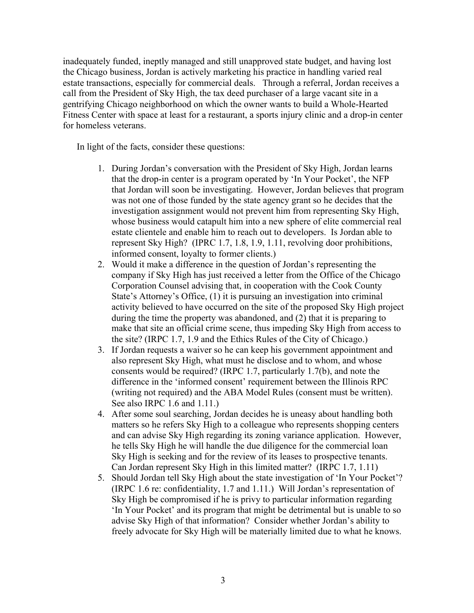inadequately funded, ineptly managed and still unapproved state budget, and having lost the Chicago business, Jordan is actively marketing his practice in handling varied real estate transactions, especially for commercial deals. Through a referral, Jordan receives a call from the President of Sky High, the tax deed purchaser of a large vacant site in a gentrifying Chicago neighborhood on which the owner wants to build a Whole-Hearted Fitness Center with space at least for a restaurant, a sports injury clinic and a drop-in center for homeless veterans.

In light of the facts, consider these questions:

- 1. During Jordan's conversation with the President of Sky High, Jordan learns that the drop-in center is a program operated by 'In Your Pocket', the NFP that Jordan will soon be investigating. However, Jordan believes that program was not one of those funded by the state agency grant so he decides that the investigation assignment would not prevent him from representing Sky High, whose business would catapult him into a new sphere of elite commercial real estate clientele and enable him to reach out to developers. Is Jordan able to represent Sky High? (IPRC 1.7, 1.8, 1.9, 1.11, revolving door prohibitions, informed consent, loyalty to former clients.)
- 2. Would it make a difference in the question of Jordan's representing the company if Sky High has just received a letter from the Office of the Chicago Corporation Counsel advising that, in cooperation with the Cook County State's Attorney's Office, (1) it is pursuing an investigation into criminal activity believed to have occurred on the site of the proposed Sky High project during the time the property was abandoned, and (2) that it is preparing to make that site an official crime scene, thus impeding Sky High from access to the site? (IRPC 1.7, 1.9 and the Ethics Rules of the City of Chicago.)
- 3. If Jordan requests a waiver so he can keep his government appointment and also represent Sky High, what must he disclose and to whom, and whose consents would be required? (IRPC 1.7, particularly 1.7(b), and note the difference in the 'informed consent' requirement between the Illinois RPC (writing not required) and the ABA Model Rules (consent must be written). See also IRPC 1.6 and 1.11.)
- 4. After some soul searching, Jordan decides he is uneasy about handling both matters so he refers Sky High to a colleague who represents shopping centers and can advise Sky High regarding its zoning variance application. However, he tells Sky High he will handle the due diligence for the commercial loan Sky High is seeking and for the review of its leases to prospective tenants. Can Jordan represent Sky High in this limited matter? (IRPC 1.7, 1.11)
- 5. Should Jordan tell Sky High about the state investigation of 'In Your Pocket'? (IRPC 1.6 re: confidentiality, 1.7 and 1.11.) Will Jordan's representation of Sky High be compromised if he is privy to particular information regarding 'In Your Pocket' and its program that might be detrimental but is unable to so advise Sky High of that information? Consider whether Jordan's ability to freely advocate for Sky High will be materially limited due to what he knows.